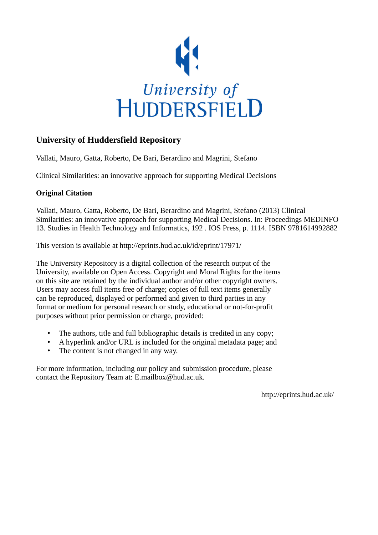

# **University of Huddersfield Repository**

Vallati, Mauro, Gatta, Roberto, De Bari, Berardino and Magrini, Stefano

Clinical Similarities: an innovative approach for supporting Medical Decisions

## **Original Citation**

Vallati, Mauro, Gatta, Roberto, De Bari, Berardino and Magrini, Stefano (2013) Clinical Similarities: an innovative approach for supporting Medical Decisions. In: Proceedings MEDINFO 13. Studies in Health Technology and Informatics, 192 . IOS Press, p. 1114. ISBN 9781614992882

This version is available at http://eprints.hud.ac.uk/id/eprint/17971/

The University Repository is a digital collection of the research output of the University, available on Open Access. Copyright and Moral Rights for the items on this site are retained by the individual author and/or other copyright owners. Users may access full items free of charge; copies of full text items generally can be reproduced, displayed or performed and given to third parties in any format or medium for personal research or study, educational or not-for-profit purposes without prior permission or charge, provided:

- The authors, title and full bibliographic details is credited in any copy;
- A hyperlink and/or URL is included for the original metadata page; and
- The content is not changed in any way.

For more information, including our policy and submission procedure, please contact the Repository Team at: E.mailbox@hud.ac.uk.

http://eprints.hud.ac.uk/